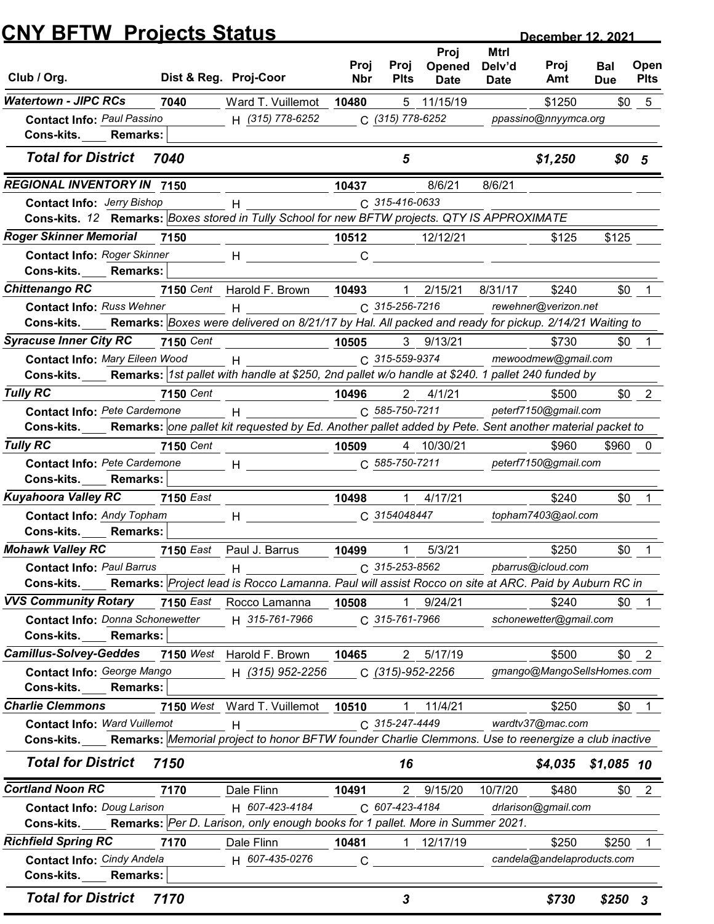| Club / Org.<br><b>Watertown - JIPC RCs</b>                                                                                                         |                  |                                                                                                                                                                                                                               |                    |                     | Proj                  | <b>Mtrl</b>           |                               |                   |                     |
|----------------------------------------------------------------------------------------------------------------------------------------------------|------------------|-------------------------------------------------------------------------------------------------------------------------------------------------------------------------------------------------------------------------------|--------------------|---------------------|-----------------------|-----------------------|-------------------------------|-------------------|---------------------|
|                                                                                                                                                    |                  | Dist & Reg. Proj-Coor                                                                                                                                                                                                         | Proj<br><b>Nbr</b> | Proj<br><b>Plts</b> | Opened<br><b>Date</b> | Delv'd<br><b>Date</b> | Proj<br>Amt                   | Bal<br><b>Due</b> | Open<br><b>Plts</b> |
|                                                                                                                                                    | 7040             | Ward T. Vuillemot                                                                                                                                                                                                             | 10480              |                     | 5 11/15/19            |                       | \$1250                        | \$0               | 5                   |
| <b>Contact Info: Paul Passino</b><br>Cons-kits.<br><b>Remarks:</b>                                                                                 |                  | H (315) 778-6252                                                                                                                                                                                                              |                    | C (315) 778-6252    |                       |                       | ppassino@nnyymca.org          |                   |                     |
| <b>Total for District</b>                                                                                                                          | 7040             |                                                                                                                                                                                                                               |                    | 5                   |                       |                       | \$1,250                       | \$0 <sub>5</sub>  |                     |
| <b>REGIONAL INVENTORY IN 7150</b>                                                                                                                  |                  |                                                                                                                                                                                                                               | 10437              |                     | 8/6/21                | 8/6/21                |                               |                   |                     |
| <b>Contact Info: Jerry Bishop</b>                                                                                                                  |                  | н                                                                                                                                                                                                                             |                    | C 315-416-0633      |                       |                       |                               |                   |                     |
| Cons-kits. 12 Remarks: Boxes stored in Tully School for new BFTW projects. QTY IS APPROXIMATE                                                      |                  |                                                                                                                                                                                                                               |                    |                     |                       |                       |                               |                   |                     |
| <b>Roger Skinner Memorial</b><br><b>Contact Info: Roger Skinner</b>                                                                                | 7150             | Н                                                                                                                                                                                                                             | 10512<br>C         |                     | 12/12/21              |                       | \$125                         | \$125             |                     |
| Cons-kits.<br><b>Remarks:</b>                                                                                                                      |                  |                                                                                                                                                                                                                               |                    |                     |                       |                       |                               |                   |                     |
| <b>Chittenango RC</b>                                                                                                                              | 7150 Cent        | Harold F. Brown                                                                                                                                                                                                               | 10493              |                     | 2/15/21               | 8/31/17               | \$240                         | \$0               |                     |
| <b>Contact Info: Russ Wehner</b>                                                                                                                   |                  | H                                                                                                                                                                                                                             |                    | C 315-256-7216      |                       |                       | rewehner@verizon.net          |                   |                     |
| <b>Cons-kits.</b>                                                                                                                                  |                  | Remarks: Boxes were delivered on 8/21/17 by Hal. All packed and ready for pickup. 2/14/21 Waiting to                                                                                                                          |                    |                     |                       |                       |                               |                   |                     |
| <b>Syracuse Inner City RC</b>                                                                                                                      | 7150 Cent        |                                                                                                                                                                                                                               | 10505              |                     | 3 9/13/21             |                       | \$730                         | \$0               |                     |
| Contact Info: Mary Eileen Wood                                                                                                                     |                  | H                                                                                                                                                                                                                             |                    | C 315-559-9374      |                       |                       | mewoodmew@gmail.com           |                   |                     |
| Cons-kits.                                                                                                                                         |                  | Remarks:  1st pallet with handle at \$250, 2nd pallet w/o handle at \$240. 1 pallet 240 funded by                                                                                                                             |                    |                     |                       |                       |                               |                   |                     |
| <b>Tully RC</b><br>Contact Info: Pete Cardemone                                                                                                    | <b>7150 Cent</b> |                                                                                                                                                                                                                               | 10496              | C 585-750-7211      | $2 \frac{4}{1/21}$    |                       | \$500<br>peterf7150@gmail.com |                   | $$0 \quad 2$        |
| Cons-kits.                                                                                                                                         |                  | H<br>Remarks: one pallet kit requested by Ed. Another pallet added by Pete. Sent another material packet to                                                                                                                   |                    |                     |                       |                       |                               |                   |                     |
| <b>Tully RC</b>                                                                                                                                    | 7150 Cent        |                                                                                                                                                                                                                               | 10509              |                     | 4 10/30/21            |                       | \$960                         | \$960 0           |                     |
| Contact Info: Pete Cardemone                                                                                                                       |                  | $H$ and $H$ and $H$ and $H$ and $H$ and $H$ and $H$ and $H$ and $H$ and $H$ and $H$ and $H$ and $H$ and $H$ and $H$ and $H$ and $H$ and $H$ and $H$ and $H$ and $H$ and $H$ and $H$ and $H$ and $H$ and $H$ and $H$ and $H$ a |                    | C 585-750-7211      |                       |                       | peterf7150@gmail.com          |                   |                     |
| Cons-kits.<br><b>Remarks:</b>                                                                                                                      |                  |                                                                                                                                                                                                                               |                    |                     |                       |                       |                               |                   |                     |
| <b>Kuyahoora Valley RC</b>                                                                                                                         | 7150 East        |                                                                                                                                                                                                                               | 10498              | -1                  | 4/17/21               |                       | \$240                         | \$0               |                     |
| <b>Contact Info: Andy Topham</b>                                                                                                                   |                  | $H$ and the set of $H$                                                                                                                                                                                                        |                    | C 3154048447        |                       |                       | topham7403@aol.com            |                   |                     |
| <b>Cons-kits.</b> Remarks:                                                                                                                         |                  |                                                                                                                                                                                                                               |                    |                     |                       |                       |                               |                   |                     |
| <b>Mohawk Valley RC</b>                                                                                                                            |                  | 7150 East Paul J. Barrus                                                                                                                                                                                                      | 10499              | -1                  | 5/3/21                |                       | \$250                         | \$0               |                     |
| <b>Contact Info: Paul Barrus</b><br>Cons-kits. Remarks: Project lead is Rocco Lamanna. Paul will assist Rocco on site at ARC. Paid by Auburn RC in |                  | H                                                                                                                                                                                                                             |                    | C 315-253-8562      |                       |                       | pbarrus@icloud.com            |                   |                     |
| <b>VVS Community Rotary</b> 7150 East Rocco Lamanna                                                                                                |                  |                                                                                                                                                                                                                               | 10508              |                     | 1 9/24/21             |                       | \$240                         | \$0               |                     |
| Contact Info: Donna Schonewetter                                                                                                                   |                  | H 315-761-7966                                                                                                                                                                                                                |                    | C 315-761-7966      |                       |                       | schonewetter@gmail.com        |                   |                     |
| Cons-kits.<br><b>Remarks:</b>                                                                                                                      |                  |                                                                                                                                                                                                                               |                    |                     |                       |                       |                               |                   |                     |
| <b>Camillus-Solvey-Geddes</b>                                                                                                                      |                  | 7150 West Harold F. Brown                                                                                                                                                                                                     | 10465              |                     | 2 5/17/19             |                       | \$500                         |                   | $$0 \quad 2$        |
| Contact Info: George Mango                                                                                                                         |                  | H (315) 952-2256                                                                                                                                                                                                              |                    | C (315)-952-2256    |                       |                       | gmango@MangoSellsHomes.com    |                   |                     |
| <b>Remarks:</b><br><b>Cons-kits.</b>                                                                                                               |                  |                                                                                                                                                                                                                               |                    |                     |                       |                       |                               |                   |                     |
| <b>Charlie Clemmons</b>                                                                                                                            |                  | 7150 West Ward T. Vuillemot 10510                                                                                                                                                                                             |                    | $\mathbf 1$         | 11/4/21               |                       | \$250                         |                   | $$0$ 1              |
| <b>Contact Info: Ward Vuillemot</b>                                                                                                                |                  | Н                                                                                                                                                                                                                             |                    | C 315-247-4449      |                       |                       | wardtv37@mac.com              |                   |                     |
| Cons-kits.<br><b>Total for District</b>                                                                                                            | 7150             | Remarks: Memorial project to honor BFTW founder Charlie Clemmons. Use to reenergize a club inactive                                                                                                                           |                    | 16                  |                       |                       | $$4,035$ \$1,085 10           |                   |                     |
| <b>Cortland Noon RC</b>                                                                                                                            | 7170             | Dale Flinn                                                                                                                                                                                                                    | 10491              |                     | 2 9/15/20             | 10/7/20               | \$480                         | <b>SO</b>         | 2                   |
| <b>Contact Info: Doug Larison</b>                                                                                                                  |                  | H 607-423-4184                                                                                                                                                                                                                |                    | C 607-423-4184      |                       |                       | drlarison@gmail.com           |                   |                     |
| Cons-kits. Remarks: Per D. Larison, only enough books for 1 pallet. More in Summer 2021.                                                           |                  |                                                                                                                                                                                                                               |                    |                     |                       |                       |                               |                   |                     |
| <b>Richfield Spring RC</b>                                                                                                                         | 7170             | Dale Flinn                                                                                                                                                                                                                    | 10481              |                     | 12/17/19              |                       | \$250                         | \$250             |                     |
| Contact Info: Cindy Andela                                                                                                                         |                  | H 607-435-0276                                                                                                                                                                                                                | $\mathsf C$        |                     |                       |                       | candela@andelaproducts.com    |                   |                     |
| <b>Remarks:</b><br>Cons-kits.                                                                                                                      |                  |                                                                                                                                                                                                                               |                    |                     |                       |                       |                               |                   |                     |
| <b>Total for District</b>                                                                                                                          | 7170             |                                                                                                                                                                                                                               |                    | 3                   |                       |                       | \$730                         | $$250$ 3          |                     |